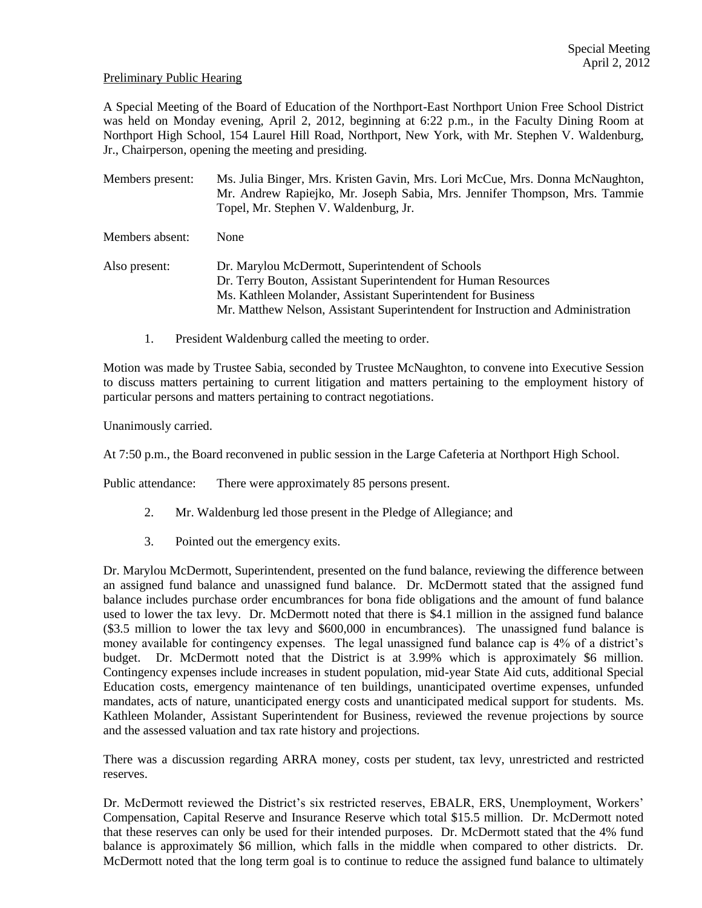### Preliminary Public Hearing

A Special Meeting of the Board of Education of the Northport-East Northport Union Free School District was held on Monday evening, April 2, 2012, beginning at 6:22 p.m., in the Faculty Dining Room at Northport High School, 154 Laurel Hill Road, Northport, New York, with Mr. Stephen V. Waldenburg, Jr., Chairperson, opening the meeting and presiding.

Members present: Ms. Julia Binger, Mrs. Kristen Gavin, Mrs. Lori McCue, Mrs. Donna McNaughton, Mr. Andrew Rapiejko, Mr. Joseph Sabia, Mrs. Jennifer Thompson, Mrs. Tammie Topel, Mr. Stephen V. Waldenburg, Jr. Members absent: None Also present: Dr. Marylou McDermott, Superintendent of Schools Dr. Terry Bouton, Assistant Superintendent for Human Resources Ms. Kathleen Molander, Assistant Superintendent for Business Mr. Matthew Nelson, Assistant Superintendent for Instruction and Administration

1. President Waldenburg called the meeting to order.

Motion was made by Trustee Sabia, seconded by Trustee McNaughton, to convene into Executive Session to discuss matters pertaining to current litigation and matters pertaining to the employment history of particular persons and matters pertaining to contract negotiations.

Unanimously carried.

At 7:50 p.m., the Board reconvened in public session in the Large Cafeteria at Northport High School.

Public attendance: There were approximately 85 persons present.

- 2. Mr. Waldenburg led those present in the Pledge of Allegiance; and
- 3. Pointed out the emergency exits.

Dr. Marylou McDermott, Superintendent, presented on the fund balance, reviewing the difference between an assigned fund balance and unassigned fund balance. Dr. McDermott stated that the assigned fund balance includes purchase order encumbrances for bona fide obligations and the amount of fund balance used to lower the tax levy. Dr. McDermott noted that there is \$4.1 million in the assigned fund balance (\$3.5 million to lower the tax levy and \$600,000 in encumbrances). The unassigned fund balance is money available for contingency expenses. The legal unassigned fund balance cap is 4% of a district's budget. Dr. McDermott noted that the District is at 3.99% which is approximately \$6 million. Contingency expenses include increases in student population, mid-year State Aid cuts, additional Special Education costs, emergency maintenance of ten buildings, unanticipated overtime expenses, unfunded mandates, acts of nature, unanticipated energy costs and unanticipated medical support for students. Ms. Kathleen Molander, Assistant Superintendent for Business, reviewed the revenue projections by source and the assessed valuation and tax rate history and projections.

There was a discussion regarding ARRA money, costs per student, tax levy, unrestricted and restricted reserves.

Dr. McDermott reviewed the District's six restricted reserves, EBALR, ERS, Unemployment, Workers' Compensation, Capital Reserve and Insurance Reserve which total \$15.5 million. Dr. McDermott noted that these reserves can only be used for their intended purposes. Dr. McDermott stated that the 4% fund balance is approximately \$6 million, which falls in the middle when compared to other districts. Dr. McDermott noted that the long term goal is to continue to reduce the assigned fund balance to ultimately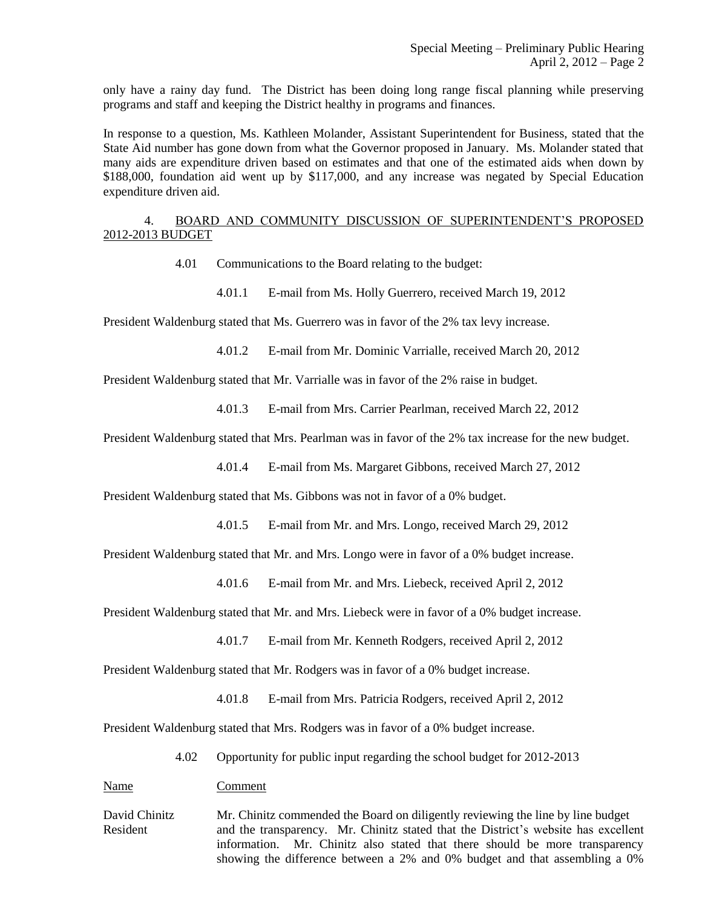only have a rainy day fund. The District has been doing long range fiscal planning while preserving programs and staff and keeping the District healthy in programs and finances.

In response to a question, Ms. Kathleen Molander, Assistant Superintendent for Business, stated that the State Aid number has gone down from what the Governor proposed in January. Ms. Molander stated that many aids are expenditure driven based on estimates and that one of the estimated aids when down by \$188,000, foundation aid went up by \$117,000, and any increase was negated by Special Education expenditure driven aid.

4. BOARD AND COMMUNITY DISCUSSION OF SUPERINTENDENT'S PROPOSED 2012-2013 BUDGET

- 4.01 Communications to the Board relating to the budget:
	- 4.01.1 E-mail from Ms. Holly Guerrero, received March 19, 2012

President Waldenburg stated that Ms. Guerrero was in favor of the 2% tax levy increase.

4.01.2 E-mail from Mr. Dominic Varrialle, received March 20, 2012

President Waldenburg stated that Mr. Varrialle was in favor of the 2% raise in budget.

4.01.3 E-mail from Mrs. Carrier Pearlman, received March 22, 2012

President Waldenburg stated that Mrs. Pearlman was in favor of the 2% tax increase for the new budget.

4.01.4 E-mail from Ms. Margaret Gibbons, received March 27, 2012

President Waldenburg stated that Ms. Gibbons was not in favor of a 0% budget.

4.01.5 E-mail from Mr. and Mrs. Longo, received March 29, 2012

President Waldenburg stated that Mr. and Mrs. Longo were in favor of a 0% budget increase.

4.01.6 E-mail from Mr. and Mrs. Liebeck, received April 2, 2012

President Waldenburg stated that Mr. and Mrs. Liebeck were in favor of a 0% budget increase.

4.01.7 E-mail from Mr. Kenneth Rodgers, received April 2, 2012

President Waldenburg stated that Mr. Rodgers was in favor of a 0% budget increase.

4.01.8 E-mail from Mrs. Patricia Rodgers, received April 2, 2012

President Waldenburg stated that Mrs. Rodgers was in favor of a 0% budget increase.

4.02 Opportunity for public input regarding the school budget for 2012-2013

Name Comment

David Chinitz Mr. Chinitz commended the Board on diligently reviewing the line by line budget Resident and the transparency. Mr. Chinitz stated that the District's website has excellent information. Mr. Chinitz also stated that there should be more transparency showing the difference between a 2% and 0% budget and that assembling a 0%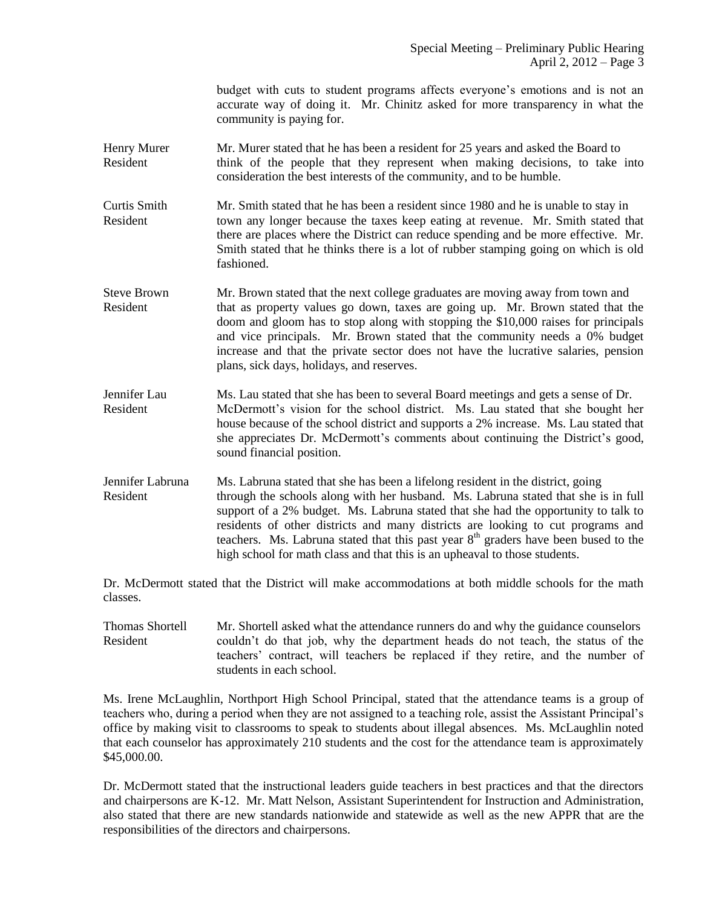budget with cuts to student programs affects everyone's emotions and is not an accurate way of doing it. Mr. Chinitz asked for more transparency in what the community is paying for.

Henry Murer Mr. Murer stated that he has been a resident for 25 years and asked the Board to Resident think of the people that they represent when making decisions, to take into consideration the best interests of the community, and to be humble.

Curtis Smith Mr. Smith stated that he has been a resident since 1980 and he is unable to stay in Resident town any longer because the taxes keep eating at revenue. Mr. Smith stated that there are places where the District can reduce spending and be more effective. Mr. Smith stated that he thinks there is a lot of rubber stamping going on which is old fashioned.

- Steve Brown Mr. Brown stated that the next college graduates are moving away from town and Resident that as property values go down, taxes are going up. Mr. Brown stated that the doom and gloom has to stop along with stopping the \$10,000 raises for principals and vice principals. Mr. Brown stated that the community needs a 0% budget increase and that the private sector does not have the lucrative salaries, pension plans, sick days, holidays, and reserves.
- Jennifer Lau Ms. Lau stated that she has been to several Board meetings and gets a sense of Dr. Resident McDermott's vision for the school district. Ms. Lau stated that she bought her house because of the school district and supports a 2% increase. Ms. Lau stated that she appreciates Dr. McDermott's comments about continuing the District's good, sound financial position.
- Jennifer Labruna Ms. Labruna stated that she has been a lifelong resident in the district, going Resident through the schools along with her husband. Ms. Labruna stated that she is in full support of a 2% budget. Ms. Labruna stated that she had the opportunity to talk to residents of other districts and many districts are looking to cut programs and teachers. Ms. Labruna stated that this past year  $8<sup>th</sup>$  graders have been bused to the high school for math class and that this is an upheaval to those students.

Dr. McDermott stated that the District will make accommodations at both middle schools for the math classes.

Thomas Shortell Mr. Shortell asked what the attendance runners do and why the guidance counselors Resident couldn't do that job, why the department heads do not teach, the status of the teachers' contract, will teachers be replaced if they retire, and the number of students in each school.

Ms. Irene McLaughlin, Northport High School Principal, stated that the attendance teams is a group of teachers who, during a period when they are not assigned to a teaching role, assist the Assistant Principal's office by making visit to classrooms to speak to students about illegal absences. Ms. McLaughlin noted that each counselor has approximately 210 students and the cost for the attendance team is approximately \$45,000.00.

Dr. McDermott stated that the instructional leaders guide teachers in best practices and that the directors and chairpersons are K-12. Mr. Matt Nelson, Assistant Superintendent for Instruction and Administration, also stated that there are new standards nationwide and statewide as well as the new APPR that are the responsibilities of the directors and chairpersons.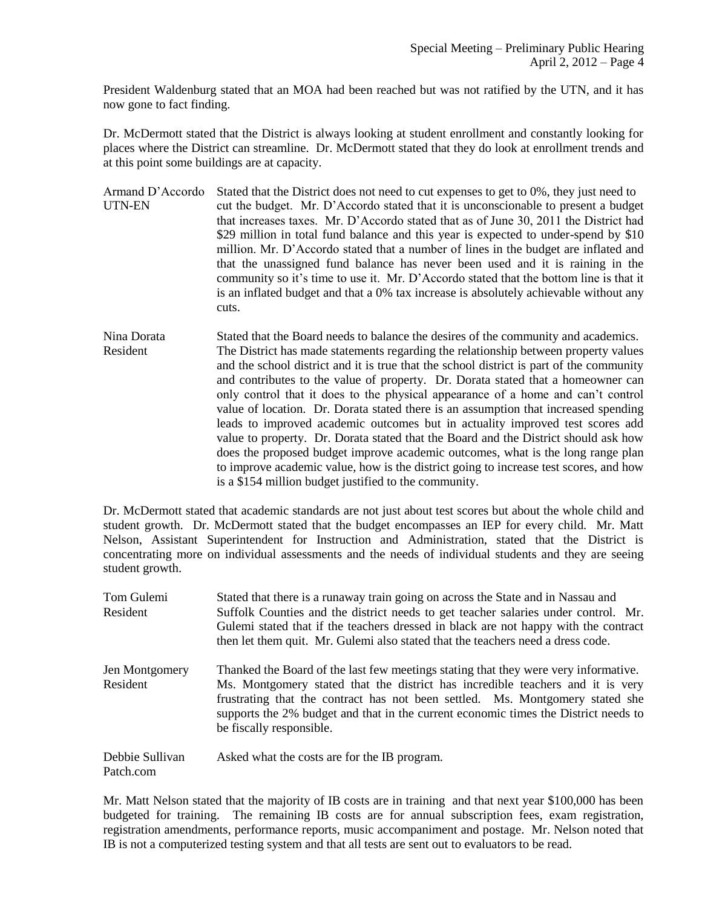President Waldenburg stated that an MOA had been reached but was not ratified by the UTN, and it has now gone to fact finding.

Dr. McDermott stated that the District is always looking at student enrollment and constantly looking for places where the District can streamline. Dr. McDermott stated that they do look at enrollment trends and at this point some buildings are at capacity.

Armand D'Accordo Stated that the District does not need to cut expenses to get to 0%, they just need to UTN-EN cut the budget. Mr. D'Accordo stated that it is unconscionable to present a budget that increases taxes. Mr. D'Accordo stated that as of June 30, 2011 the District had \$29 million in total fund balance and this year is expected to under-spend by \$10 million. Mr. D'Accordo stated that a number of lines in the budget are inflated and that the unassigned fund balance has never been used and it is raining in the community so it's time to use it. Mr. D'Accordo stated that the bottom line is that it is an inflated budget and that a 0% tax increase is absolutely achievable without any cuts.

Nina Dorata Stated that the Board needs to balance the desires of the community and academics. Resident The District has made statements regarding the relationship between property values and the school district and it is true that the school district is part of the community and contributes to the value of property. Dr. Dorata stated that a homeowner can only control that it does to the physical appearance of a home and can't control value of location. Dr. Dorata stated there is an assumption that increased spending leads to improved academic outcomes but in actuality improved test scores add value to property. Dr. Dorata stated that the Board and the District should ask how does the proposed budget improve academic outcomes, what is the long range plan to improve academic value, how is the district going to increase test scores, and how is a \$154 million budget justified to the community.

Dr. McDermott stated that academic standards are not just about test scores but about the whole child and student growth. Dr. McDermott stated that the budget encompasses an IEP for every child. Mr. Matt Nelson, Assistant Superintendent for Instruction and Administration, stated that the District is concentrating more on individual assessments and the needs of individual students and they are seeing student growth.

Tom Gulemi Stated that there is a runaway train going on across the State and in Nassau and Resident Suffolk Counties and the district needs to get teacher salaries under control. Mr. Gulemi stated that if the teachers dressed in black are not happy with the contract then let them quit. Mr. Gulemi also stated that the teachers need a dress code. Jen Montgomery Thanked the Board of the last few meetings stating that they were very informative. Resident Ms. Montgomery stated that the district has incredible teachers and it is very frustrating that the contract has not been settled. Ms. Montgomery stated she supports the 2% budget and that in the current economic times the District needs to be fiscally responsible. Debbie Sullivan Asked what the costs are for the IB program. Patch.com

Mr. Matt Nelson stated that the majority of IB costs are in training and that next year \$100,000 has been budgeted for training. The remaining IB costs are for annual subscription fees, exam registration, registration amendments, performance reports, music accompaniment and postage. Mr. Nelson noted that IB is not a computerized testing system and that all tests are sent out to evaluators to be read.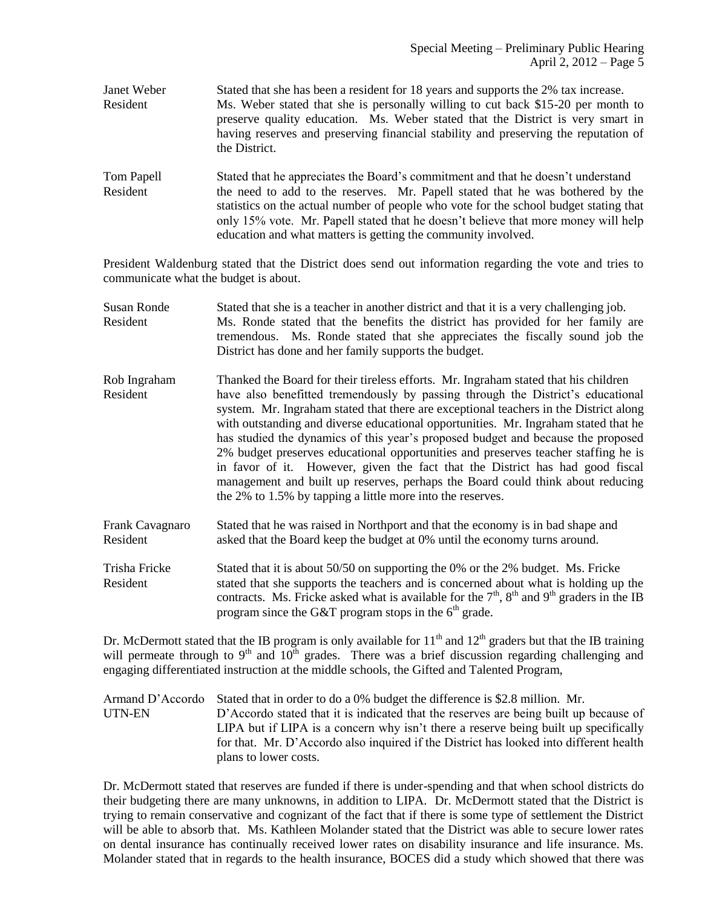- Janet Weber Stated that she has been a resident for 18 years and supports the 2% tax increase. Resident Ms. Weber stated that she is personally willing to cut back \$15-20 per month to preserve quality education. Ms. Weber stated that the District is very smart in having reserves and preserving financial stability and preserving the reputation of the District.
- Tom Papell Stated that he appreciates the Board's commitment and that he doesn't understand Resident the need to add to the reserves. Mr. Papell stated that he was bothered by the statistics on the actual number of people who vote for the school budget stating that only 15% vote. Mr. Papell stated that he doesn't believe that more money will help education and what matters is getting the community involved.

President Waldenburg stated that the District does send out information regarding the vote and tries to communicate what the budget is about.

- Susan Ronde Stated that she is a teacher in another district and that it is a very challenging job. Resident Ms. Ronde stated that the benefits the district has provided for her family are tremendous. Ms. Ronde stated that she appreciates the fiscally sound job the District has done and her family supports the budget.
- Rob Ingraham Thanked the Board for their tireless efforts. Mr. Ingraham stated that his children Resident have also benefitted tremendously by passing through the District's educational system. Mr. Ingraham stated that there are exceptional teachers in the District along with outstanding and diverse educational opportunities. Mr. Ingraham stated that he has studied the dynamics of this year's proposed budget and because the proposed 2% budget preserves educational opportunities and preserves teacher staffing he is in favor of it. However, given the fact that the District has had good fiscal management and built up reserves, perhaps the Board could think about reducing the 2% to 1.5% by tapping a little more into the reserves.
- Frank Cavagnaro Stated that he was raised in Northport and that the economy is in bad shape and Resident asked that the Board keep the budget at 0% until the economy turns around.
- Trisha Fricke Stated that it is about 50/50 on supporting the 0% or the 2% budget. Ms. Fricke Resident stated that she supports the teachers and is concerned about what is holding up the contracts. Ms. Fricke asked what is available for the  $7<sup>th</sup>$ ,  $8<sup>th</sup>$  and  $9<sup>th</sup>$  graders in the IB program since the G&T program stops in the  $6<sup>th</sup>$  grade.

Dr. McDermott stated that the IB program is only available for  $11<sup>th</sup>$  and  $12<sup>th</sup>$  graders but that the IB training will permeate through to  $9<sup>th</sup>$  and  $10<sup>th</sup>$  grades. There was a brief discussion regarding challenging and engaging differentiated instruction at the middle schools, the Gifted and Talented Program,

Armand D'Accordo Stated that in order to do a 0% budget the difference is \$2.8 million. Mr. UTN-EN D'Accordo stated that it is indicated that the reserves are being built up because of LIPA but if LIPA is a concern why isn't there a reserve being built up specifically for that. Mr. D'Accordo also inquired if the District has looked into different health plans to lower costs.

Dr. McDermott stated that reserves are funded if there is under-spending and that when school districts do their budgeting there are many unknowns, in addition to LIPA. Dr. McDermott stated that the District is trying to remain conservative and cognizant of the fact that if there is some type of settlement the District will be able to absorb that. Ms. Kathleen Molander stated that the District was able to secure lower rates on dental insurance has continually received lower rates on disability insurance and life insurance. Ms. Molander stated that in regards to the health insurance, BOCES did a study which showed that there was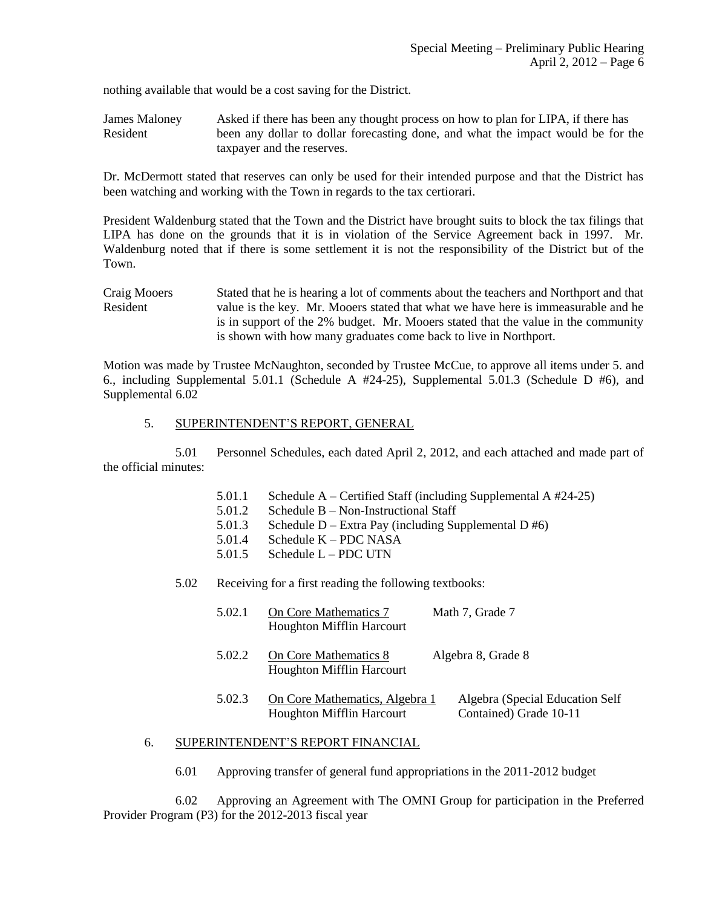nothing available that would be a cost saving for the District.

James Maloney Asked if there has been any thought process on how to plan for LIPA, if there has Resident been any dollar to dollar forecasting done, and what the impact would be for the taxpayer and the reserves.

Dr. McDermott stated that reserves can only be used for their intended purpose and that the District has been watching and working with the Town in regards to the tax certiorari.

President Waldenburg stated that the Town and the District have brought suits to block the tax filings that LIPA has done on the grounds that it is in violation of the Service Agreement back in 1997. Mr. Waldenburg noted that if there is some settlement it is not the responsibility of the District but of the Town.

Craig Mooers Stated that he is hearing a lot of comments about the teachers and Northport and that Resident value is the key. Mr. Mooers stated that what we have here is immeasurable and he is in support of the 2% budget. Mr. Mooers stated that the value in the community is shown with how many graduates come back to live in Northport.

Motion was made by Trustee McNaughton, seconded by Trustee McCue, to approve all items under 5. and 6., including Supplemental 5.01.1 (Schedule A #24-25), Supplemental 5.01.3 (Schedule D #6), and Supplemental 6.02

### 5. SUPERINTENDENT'S REPORT, GENERAL

5.01 Personnel Schedules, each dated April 2, 2012, and each attached and made part of the official minutes:

- 5.01.1 Schedule A Certified Staff (including Supplemental A #24-25)
- 5.01.2 Schedule B Non-Instructional Staff<br>5.01.3 Schedule D Extra Pay (including Su
- Schedule D Extra Pay (including Supplemental D  $#6$ )
- 5.01.4 Schedule K PDC NASA
- 5.01.5 Schedule L PDC UTN

#### 5.02 Receiving for a first reading the following textbooks:

| 5.02.1 | On Core Mathematics 7<br><b>Houghton Mifflin Harcourt</b>          | Math 7, Grade 7                                           |
|--------|--------------------------------------------------------------------|-----------------------------------------------------------|
| 5.02.2 | On Core Mathematics 8<br>Houghton Mifflin Harcourt                 | Algebra 8, Grade 8                                        |
| 5.02.3 | On Core Mathematics, Algebra 1<br><b>Houghton Mifflin Harcourt</b> | Algebra (Special Education Self<br>Contained) Grade 10-11 |

### 6. SUPERINTENDENT'S REPORT FINANCIAL

6.01 Approving transfer of general fund appropriations in the 2011-2012 budget

6.02 Approving an Agreement with The OMNI Group for participation in the Preferred Provider Program (P3) for the 2012-2013 fiscal year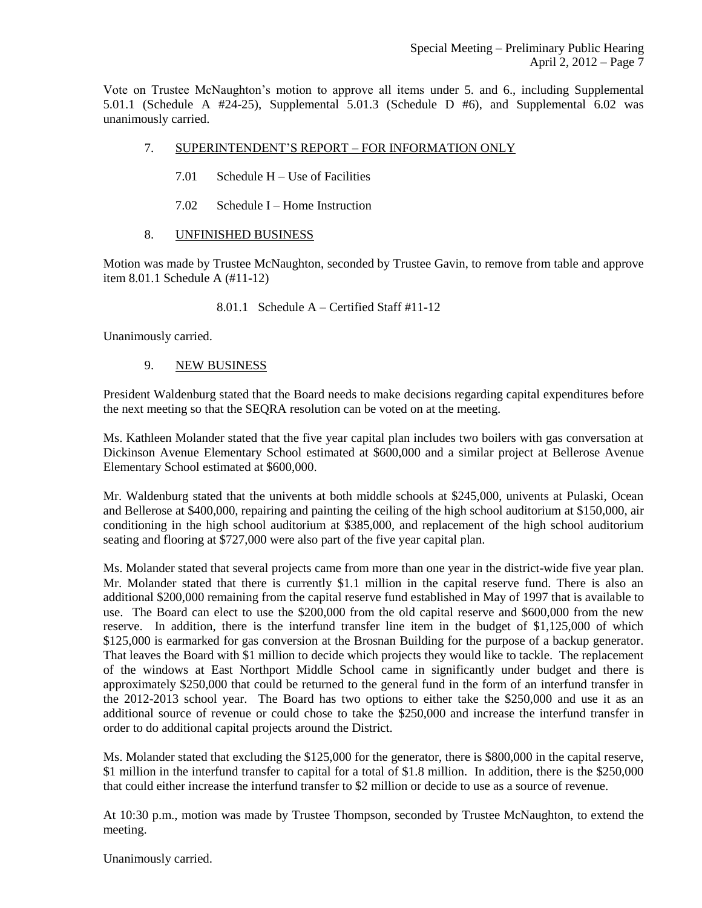Vote on Trustee McNaughton's motion to approve all items under 5. and 6., including Supplemental 5.01.1 (Schedule A #24-25), Supplemental 5.01.3 (Schedule D #6), and Supplemental 6.02 was unanimously carried.

- 7. SUPERINTENDENT'S REPORT FOR INFORMATION ONLY
	- 7.01 Schedule H Use of Facilities
	- 7.02 Schedule I Home Instruction
- 8. UNFINISHED BUSINESS

Motion was made by Trustee McNaughton, seconded by Trustee Gavin, to remove from table and approve item 8.01.1 Schedule A (#11-12)

8.01.1 Schedule A – Certified Staff #11-12

Unanimously carried.

# 9. NEW BUSINESS

President Waldenburg stated that the Board needs to make decisions regarding capital expenditures before the next meeting so that the SEQRA resolution can be voted on at the meeting.

Ms. Kathleen Molander stated that the five year capital plan includes two boilers with gas conversation at Dickinson Avenue Elementary School estimated at \$600,000 and a similar project at Bellerose Avenue Elementary School estimated at \$600,000.

Mr. Waldenburg stated that the univents at both middle schools at \$245,000, univents at Pulaski, Ocean and Bellerose at \$400,000, repairing and painting the ceiling of the high school auditorium at \$150,000, air conditioning in the high school auditorium at \$385,000, and replacement of the high school auditorium seating and flooring at \$727,000 were also part of the five year capital plan.

Ms. Molander stated that several projects came from more than one year in the district-wide five year plan. Mr. Molander stated that there is currently \$1.1 million in the capital reserve fund. There is also an additional \$200,000 remaining from the capital reserve fund established in May of 1997 that is available to use. The Board can elect to use the \$200,000 from the old capital reserve and \$600,000 from the new reserve. In addition, there is the interfund transfer line item in the budget of \$1,125,000 of which \$125,000 is earmarked for gas conversion at the Brosnan Building for the purpose of a backup generator. That leaves the Board with \$1 million to decide which projects they would like to tackle. The replacement of the windows at East Northport Middle School came in significantly under budget and there is approximately \$250,000 that could be returned to the general fund in the form of an interfund transfer in the 2012-2013 school year. The Board has two options to either take the \$250,000 and use it as an additional source of revenue or could chose to take the \$250,000 and increase the interfund transfer in order to do additional capital projects around the District.

Ms. Molander stated that excluding the \$125,000 for the generator, there is \$800,000 in the capital reserve, \$1 million in the interfund transfer to capital for a total of \$1.8 million. In addition, there is the \$250,000 that could either increase the interfund transfer to \$2 million or decide to use as a source of revenue.

At 10:30 p.m., motion was made by Trustee Thompson, seconded by Trustee McNaughton, to extend the meeting.

Unanimously carried.